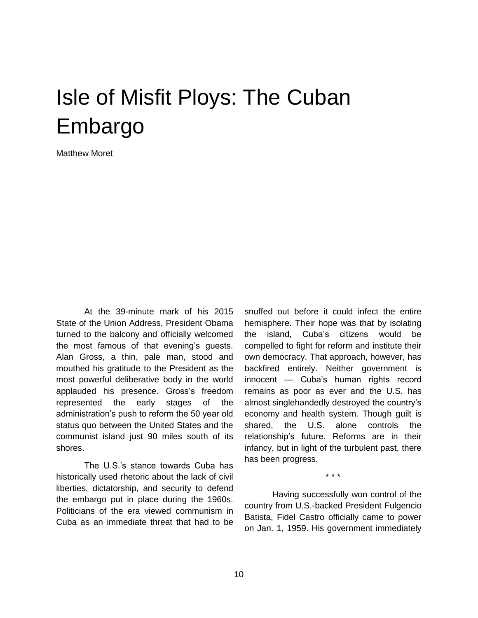## Isle of Misfit Ploys: The Cuban Embargo

Matthew Moret

At the 39-minute mark of his 2015 State of the Union Address, President Obama turned to the balcony and officially welcomed the most famous of that evening's guests. Alan Gross, a thin, pale man, stood and mouthed his gratitude to the President as the most powerful deliberative body in the world applauded his presence. Gross's freedom represented the early stages of the administration's push to reform the 50 year old status quo between the United States and the communist island just 90 miles south of its shores.

The U.S.'s stance towards Cuba has historically used rhetoric about the lack of civil liberties, dictatorship, and security to defend the embargo put in place during the 1960s. Politicians of the era viewed communism in Cuba as an immediate threat that had to be

snuffed out before it could infect the entire hemisphere. Their hope was that by isolating the island, Cuba's citizens would be compelled to fight for reform and institute their own democracy. That approach, however, has backfired entirely. Neither government is innocent — Cuba's human rights record remains as poor as ever and the U.S. has almost singlehandedly destroyed the country's economy and health system. Though guilt is shared, the U.S. alone controls the relationship's future. Reforms are in their infancy, but in light of the turbulent past, there has been progress.

\* \* \*

Having successfully won control of the country from U.S.-backed President Fulgencio Batista, Fidel Castro officially came to power on Jan. 1, 1959. His government immediately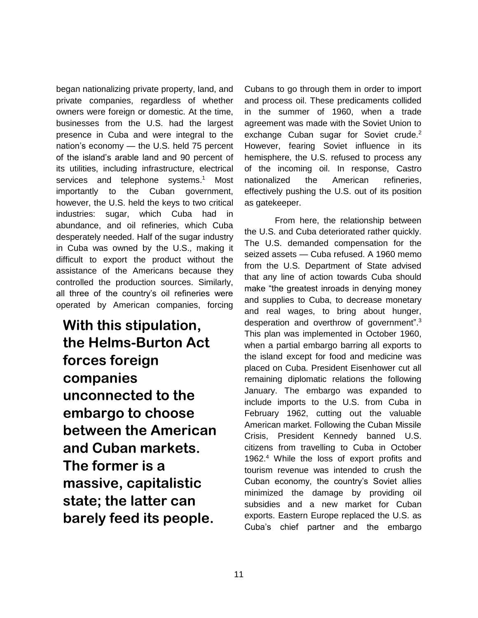began nationalizing private property, land, and private companies, regardless of whether owners were foreign or domestic. At the time, businesses from the U.S. had the largest presence in Cuba and were integral to the nation's economy — the U.S. held 75 percent of the island's arable land and 90 percent of its utilities, including infrastructure, electrical services and telephone systems.<sup>1</sup> Most importantly to the Cuban government, however, the U.S. held the keys to two critical industries: sugar, which Cuba had in abundance, and oil refineries, which Cuba desperately needed. Half of the sugar industry in Cuba was owned by the U.S., making it difficult to export the product without the assistance of the Americans because they controlled the production sources. Similarly, all three of the country's oil refineries were operated by American companies, forcing

**With this stipulation, the Helms-Burton Act forces foreign companies unconnected to the embargo to choose between the American and Cuban markets. The former is a massive, capitalistic state; the latter can barely feed its people.**

Cubans to go through them in order to import and process oil. These predicaments collided in the summer of 1960, when a trade agreement was made with the Soviet Union to exchange Cuban sugar for Soviet crude.<sup>2</sup> However, fearing Soviet influence in its hemisphere, the U.S. refused to process any of the incoming oil. In response, Castro nationalized the American refineries, effectively pushing the U.S. out of its position as gatekeeper.

From here, the relationship between the U.S. and Cuba deteriorated rather quickly. The U.S. demanded compensation for the seized assets — Cuba refused. A 1960 memo from the U.S. Department of State advised that any line of action towards Cuba should make "the greatest inroads in denying money and supplies to Cuba, to decrease monetary and real wages, to bring about hunger, desperation and overthrow of government".<sup>3</sup> This plan was implemented in October 1960, when a partial embargo barring all exports to the island except for food and medicine was placed on Cuba. President Eisenhower cut all remaining diplomatic relations the following January. The embargo was expanded to include imports to the U.S. from Cuba in February 1962, cutting out the valuable American market. Following the Cuban Missile Crisis, President Kennedy banned U.S. citizens from travelling to Cuba in October 1962.<sup>4</sup> While the loss of export profits and tourism revenue was intended to crush the Cuban economy, the country's Soviet allies minimized the damage by providing oil subsidies and a new market for Cuban exports. Eastern Europe replaced the U.S. as Cuba's chief partner and the embargo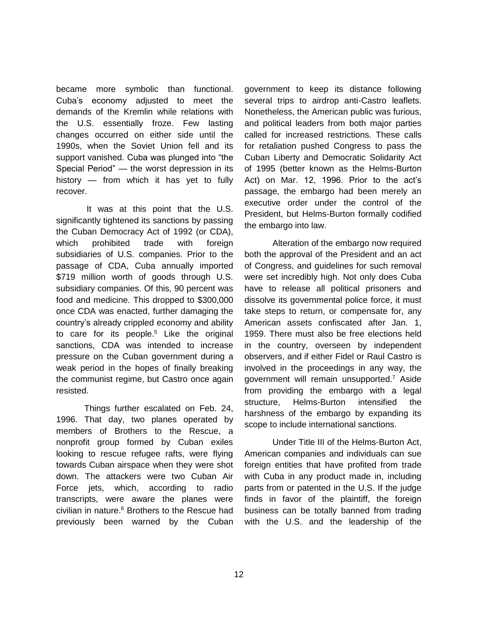became more symbolic than functional. Cuba's economy adjusted to meet the demands of the Kremlin while relations with the U.S. essentially froze. Few lasting changes occurred on either side until the 1990s, when the Soviet Union fell and its support vanished. Cuba was plunged into "the Special Period" — the worst depression in its history — from which it has yet to fully recover.

It was at this point that the U.S. significantly tightened its sanctions by passing the Cuban Democracy Act of 1992 (or CDA), which prohibited trade with foreign subsidiaries of U.S. companies. Prior to the passage of CDA, Cuba annually imported \$719 million worth of goods through U.S. subsidiary companies. Of this, 90 percent was food and medicine. This dropped to \$300,000 once CDA was enacted, further damaging the country's already crippled economy and ability to care for its people. <sup>5</sup> Like the original sanctions, CDA was intended to increase pressure on the Cuban government during a weak period in the hopes of finally breaking the communist regime, but Castro once again resisted.

Things further escalated on Feb. 24, 1996. That day, two planes operated by members of Brothers to the Rescue, a nonprofit group formed by Cuban exiles looking to rescue refugee rafts, were flying towards Cuban airspace when they were shot down. The attackers were two Cuban Air Force jets, which, according to radio transcripts, were aware the planes were civilian in nature.<sup>6</sup> Brothers to the Rescue had previously been warned by the Cuban

government to keep its distance following several trips to airdrop anti-Castro leaflets. Nonetheless, the American public was furious, and political leaders from both major parties called for increased restrictions. These calls for retaliation pushed Congress to pass the Cuban Liberty and Democratic Solidarity Act of 1995 (better known as the Helms-Burton Act) on Mar. 12, 1996. Prior to the act's passage, the embargo had been merely an executive order under the control of the President, but Helms-Burton formally codified the embargo into law.

Alteration of the embargo now required both the approval of the President and an act of Congress, and guidelines for such removal were set incredibly high. Not only does Cuba have to release all political prisoners and dissolve its governmental police force, it must take steps to return, or compensate for, any American assets confiscated after Jan. 1, 1959. There must also be free elections held in the country, overseen by independent observers, and if either Fidel or Raul Castro is involved in the proceedings in any way, the government will remain unsupported. <sup>7</sup> Aside from providing the embargo with a legal structure, Helms-Burton intensified the harshness of the embargo by expanding its scope to include international sanctions.

Under Title III of the Helms-Burton Act, American companies and individuals can sue foreign entities that have profited from trade with Cuba in any product made in, including parts from or patented in the U.S. If the judge finds in favor of the plaintiff, the foreign business can be totally banned from trading with the U.S. and the leadership of the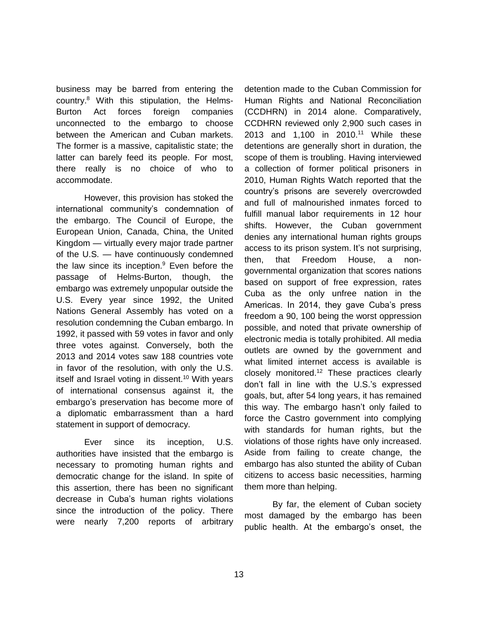business may be barred from entering the country.<sup>8</sup> With this stipulation, the Helms-Burton Act forces foreign companies unconnected to the embargo to choose between the American and Cuban markets. The former is a massive, capitalistic state; the latter can barely feed its people. For most, there really is no choice of who to accommodate.

However, this provision has stoked the international community's condemnation of the embargo. The Council of Europe, the European Union, Canada, China, the United Kingdom — virtually every major trade partner of the U.S. — have continuously condemned the law since its inception. $9$  Even before the passage of Helms-Burton, though, the embargo was extremely unpopular outside the U.S. Every year since 1992, the United Nations General Assembly has voted on a resolution condemning the Cuban embargo. In 1992, it passed with 59 votes in favor and only three votes against. Conversely, both the 2013 and 2014 votes saw 188 countries vote in favor of the resolution, with only the U.S. itself and Israel voting in dissent.<sup>10</sup> With years of international consensus against it, the embargo's preservation has become more of a diplomatic embarrassment than a hard statement in support of democracy.

Ever since its inception, U.S. authorities have insisted that the embargo is necessary to promoting human rights and democratic change for the island. In spite of this assertion, there has been no significant decrease in Cuba's human rights violations since the introduction of the policy. There were nearly 7,200 reports of arbitrary

detention made to the Cuban Commission for Human Rights and National Reconciliation (CCDHRN) in 2014 alone. Comparatively, CCDHRN reviewed only 2,900 such cases in 2013 and 1,100 in 2010.<sup>11</sup> While these detentions are generally short in duration, the scope of them is troubling. Having interviewed a collection of former political prisoners in 2010, Human Rights Watch reported that the country's prisons are severely overcrowded and full of malnourished inmates forced to fulfill manual labor requirements in 12 hour shifts. However, the Cuban government denies any international human rights groups access to its prison system. It's not surprising, then, that Freedom House, a nongovernmental organization that scores nations based on support of free expression, rates Cuba as the only unfree nation in the Americas. In 2014, they gave Cuba's press freedom a 90, 100 being the worst oppression possible, and noted that private ownership of electronic media is totally prohibited. All media outlets are owned by the government and what limited internet access is available is closely monitored.<sup>12</sup> These practices clearly don't fall in line with the U.S.'s expressed goals, but, after 54 long years, it has remained this way. The embargo hasn't only failed to force the Castro government into complying with standards for human rights, but the violations of those rights have only increased. Aside from failing to create change, the embargo has also stunted the ability of Cuban citizens to access basic necessities, harming them more than helping.

By far, the element of Cuban society most damaged by the embargo has been public health. At the embargo's onset, the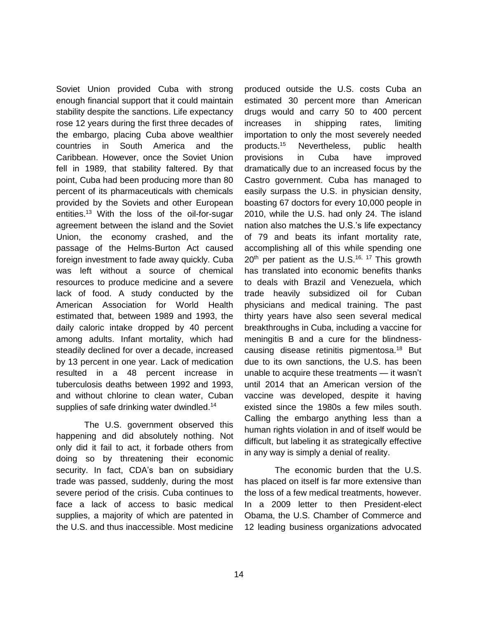Soviet Union provided Cuba with strong enough financial support that it could maintain stability despite the sanctions. Life expectancy rose 12 years during the first three decades of the embargo, placing Cuba above wealthier countries in South America and the Caribbean. However, once the Soviet Union fell in 1989, that stability faltered. By that point, Cuba had been producing more than 80 percent of its pharmaceuticals with chemicals provided by the Soviets and other European entities.<sup>13</sup> With the loss of the oil-for-sugar agreement between the island and the Soviet Union, the economy crashed, and the passage of the Helms-Burton Act caused foreign investment to fade away quickly. Cuba was left without a source of chemical resources to produce medicine and a severe lack of food. A study conducted by the American Association for World Health estimated that, between 1989 and 1993, the daily caloric intake dropped by 40 percent among adults. Infant mortality, which had steadily declined for over a decade, increased by 13 percent in one year. Lack of medication resulted in a 48 percent increase in tuberculosis deaths between 1992 and 1993, and without chlorine to clean water, Cuban supplies of safe drinking water dwindled.<sup>14</sup>

The U.S. government observed this happening and did absolutely nothing. Not only did it fail to act, it forbade others from doing so by threatening their economic security. In fact, CDA's ban on subsidiary trade was passed, suddenly, during the most severe period of the crisis. Cuba continues to face a lack of access to basic medical supplies, a majority of which are patented in the U.S. and thus inaccessible. Most medicine

produced outside the U.S. costs Cuba an estimated 30 percent more than American drugs would and carry 50 to 400 percent increases in shipping rates, limiting importation to only the most severely needed products.<sup>15</sup> Nevertheless, public health provisions in Cuba have improved dramatically due to an increased focus by the Castro government. Cuba has managed to easily surpass the U.S. in physician density, boasting 67 doctors for every 10,000 people in 2010, while the U.S. had only 24. The island nation also matches the U.S.'s life expectancy of 79 and beats its infant mortality rate, accomplishing all of this while spending one 20<sup>th</sup> per patient as the U.S.<sup>16, 17</sup> This growth has translated into economic benefits thanks to deals with Brazil and Venezuela, which trade heavily subsidized oil for Cuban physicians and medical training. The past thirty years have also seen several medical breakthroughs in Cuba, including a vaccine for meningitis B and a cure for the blindnesscausing disease retinitis pigmentosa.<sup>18</sup> But due to its own sanctions, the U.S. has been unable to acquire these treatments — it wasn't until 2014 that an American version of the vaccine was developed, despite it having existed since the 1980s a few miles south. Calling the embargo anything less than a human rights violation in and of itself would be difficult, but labeling it as strategically effective in any way is simply a denial of reality.

The economic burden that the U.S. has placed on itself is far more extensive than the loss of a few medical treatments, however. In a 2009 letter to then President-elect Obama, the U.S. Chamber of Commerce and 12 leading business organizations advocated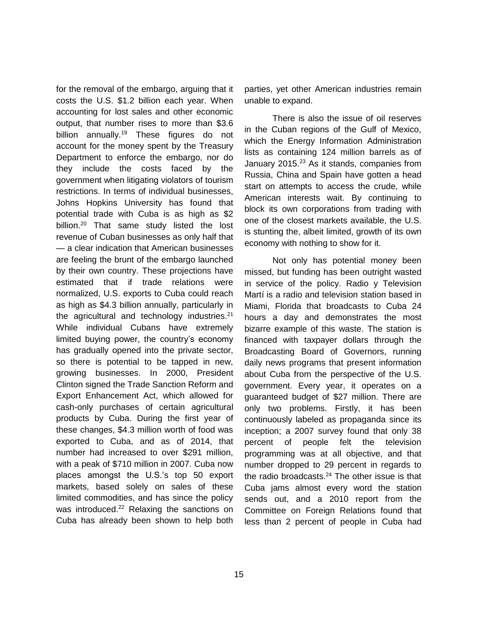for the removal of the embargo, arguing that it costs the U.S. \$1.2 billion each year. When accounting for lost sales and other economic output, that number rises to more than \$3.6 billion annually.<sup>19</sup> These figures do not account for the money spent by the Treasury Department to enforce the embargo, nor do they include the costs faced by the government when litigating violators of tourism restrictions. In terms of individual businesses, Johns Hopkins University has found that potential trade with Cuba is as high as \$2 billion.<sup>20</sup> That same study listed the lost revenue of Cuban businesses as only half that — a clear indication that American businesses are feeling the brunt of the embargo launched by their own country. These projections have estimated that if trade relations were normalized, U.S. exports to Cuba could reach as high as \$4.3 billion annually, particularly in the agricultural and technology industries. $21$ While individual Cubans have extremely limited buying power, the country's economy has gradually opened into the private sector, so there is potential to be tapped in new, growing businesses. In 2000, President Clinton signed the Trade Sanction Reform and Export Enhancement Act, which allowed for cash-only purchases of certain agricultural products by Cuba. During the first year of these changes, \$4.3 million worth of food was exported to Cuba, and as of 2014, that number had increased to over \$291 million, with a peak of \$710 million in 2007. Cuba now places amongst the U.S.'s top 50 export markets, based solely on sales of these limited commodities, and has since the policy was introduced.<sup>22</sup> Relaxing the sanctions on Cuba has already been shown to help both

parties, yet other American industries remain unable to expand.

There is also the issue of oil reserves in the Cuban regions of the Gulf of Mexico, which the Energy Information Administration lists as containing 124 million barrels as of January 2015.<sup>23</sup> As it stands, companies from Russia, China and Spain have gotten a head start on attempts to access the crude, while American interests wait. By continuing to block its own corporations from trading with one of the closest markets available, the U.S. is stunting the, albeit limited, growth of its own economy with nothing to show for it.

Not only has potential money been missed, but funding has been outright wasted in service of the policy. Radio y Television Martí is a radio and television station based in Miami, Florida that broadcasts to Cuba 24 hours a day and demonstrates the most bizarre example of this waste. The station is financed with taxpayer dollars through the Broadcasting Board of Governors, running daily news programs that present information about Cuba from the perspective of the U.S. government. Every year, it operates on a guaranteed budget of \$27 million. There are only two problems. Firstly, it has been continuously labeled as propaganda since its inception; a 2007 survey found that only 38 percent of people felt the television programming was at all objective, and that number dropped to 29 percent in regards to the radio broadcasts. $24$  The other issue is that Cuba jams almost every word the station sends out, and a 2010 report from the Committee on Foreign Relations found that less than 2 percent of people in Cuba had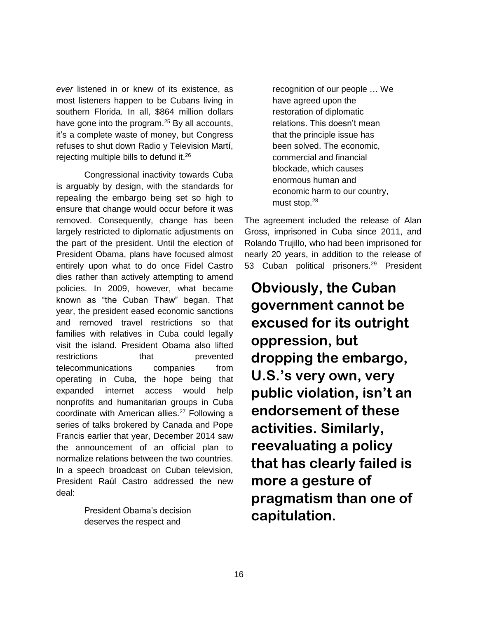*ever* listened in or knew of its existence, as most listeners happen to be Cubans living in southern Florida. In all, \$864 million dollars have gone into the program.<sup>25</sup> By all accounts, it's a complete waste of money, but Congress refuses to shut down Radio y Television Martí, rejecting multiple bills to defund it.<sup>26</sup>

Congressional inactivity towards Cuba is arguably by design, with the standards for repealing the embargo being set so high to ensure that change would occur before it was removed. Consequently, change has been largely restricted to diplomatic adjustments on the part of the president. Until the election of President Obama, plans have focused almost entirely upon what to do once Fidel Castro dies rather than actively attempting to amend policies. In 2009, however, what became known as "the Cuban Thaw" began. That year, the president eased economic sanctions and removed travel restrictions so that families with relatives in Cuba could legally visit the island. President Obama also lifted restrictions that prevented telecommunications companies from operating in Cuba, the hope being that expanded internet access would help nonprofits and humanitarian groups in Cuba coordinate with American allies.<sup>27</sup> Following a series of talks brokered by Canada and Pope Francis earlier that year, December 2014 saw the announcement of an official plan to normalize relations between the two countries. In a speech broadcast on Cuban television, President Raúl Castro addressed the new deal:

> President Obama's decision deserves the respect and

recognition of our people … We have agreed upon the restoration of diplomatic relations. This doesn't mean that the principle issue has been solved. The economic, commercial and financial blockade, which causes enormous human and economic harm to our country, must stop.<sup>28</sup>

The agreement included the release of Alan Gross, imprisoned in Cuba since 2011, and Rolando Trujillo, who had been imprisoned for nearly 20 years, in addition to the release of 53 Cuban political prisoners.<sup>29</sup> President

**Obviously, the Cuban government cannot be excused for its outright oppression, but dropping the embargo, U.S.'s very own, very public violation, isn't an endorsement of these activities. Similarly, reevaluating a policy that has clearly failed is more a gesture of pragmatism than one of capitulation.**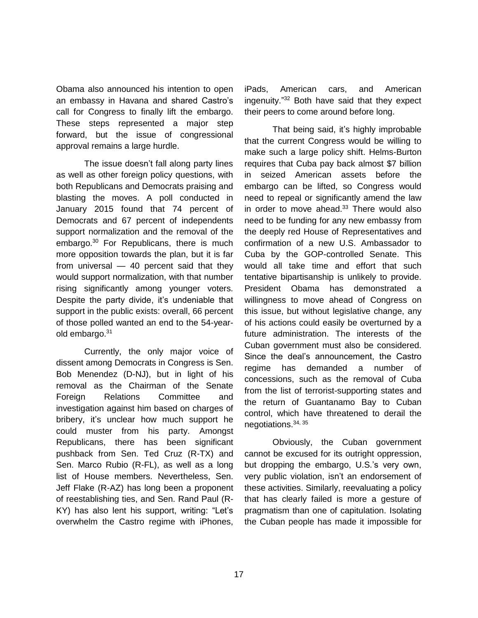Obama also announced his intention to open an embassy in Havana and shared Castro's call for Congress to finally lift the embargo. These steps represented a major step forward, but the issue of congressional approval remains a large hurdle.

The issue doesn't fall along party lines as well as other foreign policy questions, with both Republicans and Democrats praising and blasting the moves. A poll conducted in January 2015 found that 74 percent of Democrats and 67 percent of independents support normalization and the removal of the embargo. <sup>30</sup> For Republicans, there is much more opposition towards the plan, but it is far from universal — 40 percent said that they would support normalization, with that number rising significantly among younger voters. Despite the party divide, it's undeniable that support in the public exists: overall, 66 percent of those polled wanted an end to the 54-yearold embargo.<sup>31</sup>

Currently, the only major voice of dissent among Democrats in Congress is Sen. Bob Menendez (D-NJ), but in light of his removal as the Chairman of the Senate Foreign Relations Committee and investigation against him based on charges of bribery, it's unclear how much support he could muster from his party. Amongst Republicans, there has been significant pushback from Sen. Ted Cruz (R-TX) and Sen. Marco Rubio (R-FL), as well as a long list of House members. Nevertheless, Sen. Jeff Flake (R-AZ) has long been a proponent of reestablishing ties, and Sen. Rand Paul (R-KY) has also lent his support, writing: "Let's overwhelm the Castro regime with iPhones,

iPads, American cars, and American ingenuity." <sup>32</sup> Both have said that they expect their peers to come around before long.

That being said, it's highly improbable that the current Congress would be willing to make such a large policy shift. Helms-Burton requires that Cuba pay back almost \$7 billion in seized American assets before the embargo can be lifted, so Congress would need to repeal or significantly amend the law in order to move ahead. <sup>33</sup> There would also need to be funding for any new embassy from the deeply red House of Representatives and confirmation of a new U.S. Ambassador to Cuba by the GOP-controlled Senate. This would all take time and effort that such tentative bipartisanship is unlikely to provide. President Obama has demonstrated a willingness to move ahead of Congress on this issue, but without legislative change, any of his actions could easily be overturned by a future administration. The interests of the Cuban government must also be considered. Since the deal's announcement, the Castro regime has demanded a number of concessions, such as the removal of Cuba from the list of terrorist-supporting states and the return of Guantanamo Bay to Cuban control, which have threatened to derail the negotiations.34, 35

Obviously, the Cuban government cannot be excused for its outright oppression, but dropping the embargo, U.S.'s very own, very public violation, isn't an endorsement of these activities. Similarly, reevaluating a policy that has clearly failed is more a gesture of pragmatism than one of capitulation. Isolating the Cuban people has made it impossible for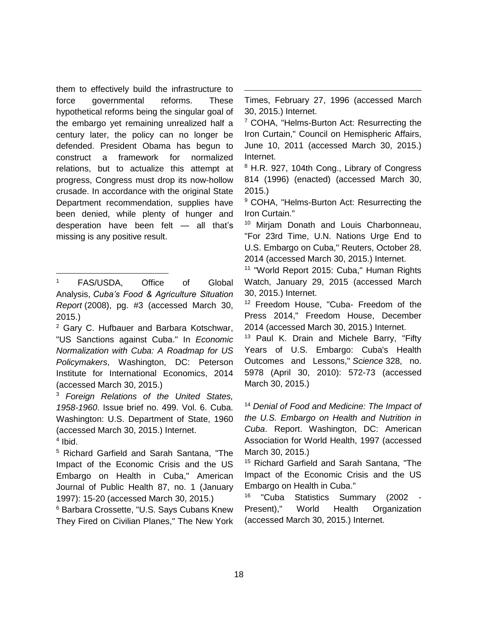them to effectively build the infrastructure to force governmental reforms. These hypothetical reforms being the singular goal of the embargo yet remaining unrealized half a century later, the policy can no longer be defended. President Obama has begun to construct a framework for normalized relations, but to actualize this attempt at progress, Congress must drop its now-hollow crusade. In accordance with the original State Department recommendation, supplies have been denied, while plenty of hunger and desperation have been felt — all that's missing is any positive result.

<sup>3</sup> *Foreign Relations of the United States, 1958-1960*. Issue brief no. 499. Vol. 6. Cuba. Washington: U.S. Department of State, 1960 (accessed March 30, 2015.) Internet.

4 Ibid.

 $\overline{a}$ 

<sup>5</sup> Richard Garfield and Sarah Santana, "The Impact of the Economic Crisis and the US Embargo on Health in Cuba," American Journal of Public Health 87, no. 1 (January 1997): 15-20 (accessed March 30, 2015.)

<sup>6</sup> Barbara Crossette, "U.S. Says Cubans Knew They Fired on Civilian Planes," The New York

 $\overline{a}$ Times, February 27, 1996 (accessed March 30, 2015.) Internet.

<sup>7</sup> COHA, "Helms-Burton Act: Resurrecting the Iron Curtain," Council on Hemispheric Affairs, June 10, 2011 (accessed March 30, 2015.) Internet.

<sup>8</sup> H.R. 927, 104th Cong., Library of Congress 814 (1996) (enacted) (accessed March 30, 2015.)

<sup>9</sup> COHA, "Helms-Burton Act: Resurrecting the Iron Curtain."

<sup>10</sup> Mirjam Donath and Louis Charbonneau, "For 23rd Time, U.N. Nations Urge End to U.S. Embargo on Cuba," Reuters, October 28, 2014 (accessed March 30, 2015.) Internet.

<sup>11</sup> "World Report 2015: Cuba," Human Rights Watch, January 29, 2015 (accessed March 30, 2015.) Internet.

<sup>12</sup> Freedom House, "Cuba- Freedom of the Press 2014," Freedom House, December 2014 (accessed March 30, 2015.) Internet.

<sup>13</sup> Paul K. Drain and Michele Barry, "Fifty Years of U.S. Embargo: Cuba's Health Outcomes and Lessons," *Science* 328, no. 5978 (April 30, 2010): 572-73 (accessed March 30, 2015.)

<sup>14</sup> *Denial of Food and Medicine: The Impact of the U.S. Embargo on Health and Nutrition in Cuba*. Report. Washington, DC: American Association for World Health, 1997 (accessed March 30, 2015.)

<sup>15</sup> Richard Garfield and Sarah Santana, "The Impact of the Economic Crisis and the US Embargo on Health in Cuba."

<sup>16</sup> "Cuba Statistics Summary (2002 Present)," World Health Organization (accessed March 30, 2015.) Internet.

FAS/USDA, Office of Global Analysis, *Cuba's Food & Agriculture Situation Report* (2008), pg. #3 (accessed March 30, 2015.)

<sup>2</sup> Gary C. Hufbauer and Barbara Kotschwar, "US Sanctions against Cuba." In *Economic Normalization with Cuba: A Roadmap for US Policymakers*, Washington, DC: Peterson Institute for International Economics, 2014 (accessed March 30, 2015.)